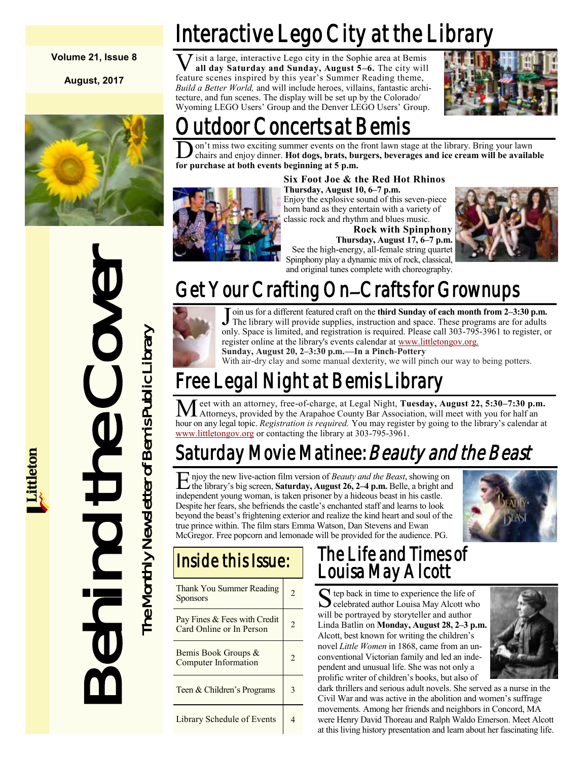**Volume 21, Issue 8**

**August, 2017**



# Interactive Lego City at the Librar

**V** isit a large, interactive Lego city in the Sophie area at Bemi all day Saturday and Sunday, August 5–6. The city with feature scenes inspired by this year's Summer Reading theme, isit a large, interactive Lego city in the Sophie area at Bemis **all day Saturday and Sunday, August 5–6.** The city will *Build a Better World,* and will include heroes, villains, fantastic architecture, and fun scenes. The display will be set up by the Colorado/ Wyoming LEGO Users' Group and the Denver LEGO Users' Group.



## oncerts at Bemis

**D** on't miss two exciting summer events on the chairs and enjoy dinner. **Hot dogs, brats, but for purchase at both events beginning at 5 p.m.** on't miss two exciting summer events on the front lawn stage at the library. Bring your lawn chairs and enjoy dinner. **Hot dogs, brats, burgers, beverages and ice cream will be available** 



### **Six Foot Joe & the Red Hot Rhinos**

**Thursday, August 10, 6–7 p.m.** Enjoy the explosive sound of this seven-piece horn band as they entertain with a variety of classic rock and rhythm and blues music.

**Rock with Spinphony Thursday, August 17, 6–7 p.m.** See the high-energy, all-female string quartet

Spinphony play a dynamic mix of rock, classical, and original tunes complete with choreography.



## Get Your Crafting On–Crafts for Grownups



J oin us for a different featured craft on the third Sunday of each month from 2-3:30 p.m.<br>The library will provide supplies, instruction and space. These programs are for adults oin us for a different featured craft on the **third Sunday of each month from 2–3:30 p.m.** only. Space is limited, and registration is required. Please call 303-795-3961 to register, or register online at the library's events calendar at [www.littletongov.org.](https://www.littletongov.org/city-services/city-departments/bemis-library/library-events-calendar)

**Sunday, August 20, 2–3:30 p.m.—In a Pinch-Pottery**

With air-dry clay and some manual dexterity, we will pinch our way to being potters.

## Free Legal Night at Bemis Library

Meet with an attorney, free-of-charge, at Legal Night, **Tuesday, August 22, 5:30–7:30 p.m.**<br>Attorneys, provided by the Arapahoe County Bar Association, will meet with you for half an hour on any legal topic. *Registration is required.* You may register by going to the library's calendar at [www.littletongov.org](https://www.littletongov.org/city-services/city-departments/bemis-library/library-events-calendar) or contacting the library at 303-795-3961.

### Saturday Movie Matinee: *Beauty and the Beast*

E njoy the new live-action film version of *Beauty and the Beast*, showing on the library's big screen, **Saturday, August 26, 2–4 p.m.** Belle, a bright and independent young woman, is taken prisoner by a hideous beast in his castle. Despite her fears, she befriends the castle's enchanted staff and learns to look beyond the beast's frightening exterior and realize the kind heart and soul of the true prince within. The film stars Emma Watson, Dan Stevens and Ewan McGregor. Free popcorn and lemonade will be provided for the audience. PG.



### Inside this Issue:

| Thank You Summer Reading<br><b>Sponsors</b>              | 2              |
|----------------------------------------------------------|----------------|
| Pay Fines & Fees with Credit<br>Card Online or In Person | $\mathfrak{D}$ |
| Bemis Book Groups &<br>Computer Information              | 2              |
| Teen & Children's Programs                               | 3              |
| Library Schedule of Events                               |                |

### The Life and Times of Louisa May Alcott

Selebrated author Louisa May Alcott who **C** celebrated author Louisa May Alcott who will be portrayed by storyteller and author Linda Batlin on **Monday, August 28, 2–3 p.m.** Alcott, best known for writing the children's novel *Little Women* in 1868, came from an unconventional Victorian family and led an independent and unusual life. She was not only a prolific writer of children's books, but also of



dark thrillers and serious adult novels. She served as a nurse in the Civil War and was active in the abolition and women's suffrage movements. Among her friends and neighbors in Concord, MA were Henry David Thoreau and Ralph Waldo Emerson. Meet Alcott at this living history presentation and learn about her fascinating life.



Behind the Cover The Monthly Newsletter of Bemis Public Library

The Monthly Newsletter of Bemis Public Library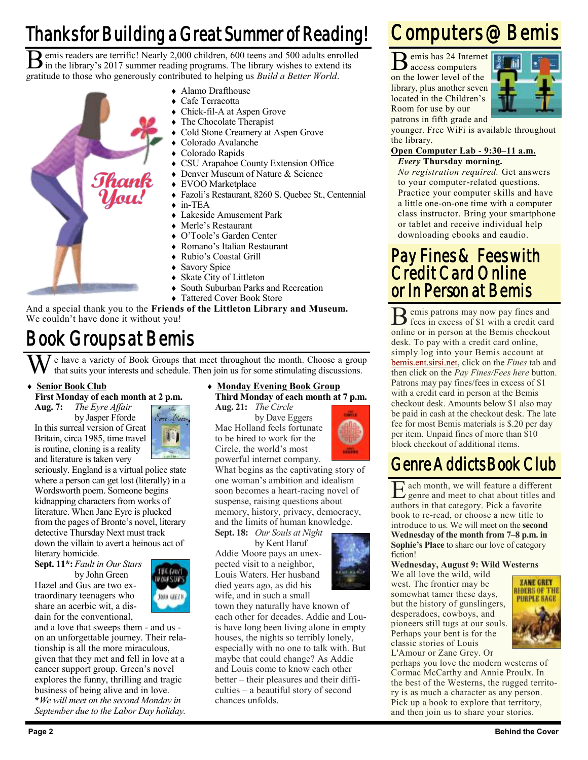## Thanks for Building a Great Summer of Reading!

B emis readers are terrific! Nearly 2,000 children, 600 teens and 500 adults enrolle in the library's 2017 summer reading programs. The library wishes to extend its emis readers are terrific! Nearly 2,000 children, 600 teens and 500 adults enrolled gratitude to those who generously contributed to helping us *Build a Better World*.

- 
- Alamo Drafthouse
- Cafe Terracotta
- Chick-fil-A at Aspen Grove
	- The Chocolate Therapist
- Cold Stone Creamery at Aspen Grove
- Colorado Avalanche
- Colorado Rapids
- CSU Arapahoe County Extension Office
- Denver Museum of Nature & Science
- EVOO Marketplace
- Fazoli's Restaurant, 8260 S. Quebec St., Centennial
- in-TEA
- Lakeside Amusement Park
- Merle's Restaurant
- O'Toole's Garden Center
- Romano's Italian Restaurant
- Rubio's Coastal Grill
- ◆ Savory Spice
- Skate City of Littleton
- ◆ South Suburban Parks and Recreation
- Tattered Cover Book Store

And a special thank you to the **Friends of the Littleton Library and Museum.** We couldn't have done it without you!

## Book Groups at Bemis

e have a variety of Book Groups that meet throughout the month. Choose a group that suits your interests and schedule. Then join us for some stimulating discussions.

#### **Senior Book Club**

#### **First Monday of each month at 2 p.m.**

**Aug. 7:** *The Eyre Affair* by Jasper Fforde

In this surreal version of Great Britain, circa 1985, time travel is routine, cloning is a reality and literature is taken very



seriously. England is a virtual police state where a person can get lost (literally) in a Wordsworth poem. Someone begins kidnapping characters from works of literature. When Jane Eyre is plucked from the pages of Bronte's novel, literary detective Thursday Next must track down the villain to avert a heinous act of literary homicide.

**Sept. 11\*:** *Fault in Our Stars* by John Green

Hazel and Gus are two extraordinary teenagers who share an acerbic wit, a disdain for the conventional,



and a love that sweeps them - and us on an unforgettable journey. Their relationship is all the more miraculous, given that they met and fell in love at a cancer support group. Green's novel explores the funny, thrilling and tragic business of being alive and in love. **\****We will meet on the second Monday in September due to the Labor Day holiday.*

### **Monday Evening Book Group Third Monday of each month at 7 p.m.**

**Aug. 21:** *The Circle* by Dave Eggers Mae Holland feels fortunate to be hired to work for the Circle, the world's most powerful internet company.

soon becomes a heart-racing novel of suspense, raising questions about memory, history, privacy, democracy, and the limits of human knowledge.

by Kent Haruf Addie Moore pays an unex-Louis Waters. Her husband

town they naturally have known of each other for decades. Addie and Louis have long been living alone in empty houses, the nights so terribly lonely, especially with no one to talk with. But maybe that could change? As Addie and Louis come to know each other better – their pleasures and their difficulties – a beautiful story of second chances unfolds.

### Computers @ Bemis

B emis has 24 Internet

access computers on the lower level of the library, plus another seven located in the Children's Room for use by our patrons in fifth grade and



younger. Free WiFi is available throughout the library.

#### **Open Computer Lab - 9:30–11 a.m.** *Every* **Thursday morning.**

*No registration required.* Get answers to your computer-related questions. Practice your computer skills and have a little one-on-one time with a computer class instructor. Bring your smartphone or tablet and receive individual help downloading ebooks and eaudio.

### Pay Fines & Fees with Credit Card Online or In Person at Bemis

B emis patrons may now pay fines and<br>
if the sin excess of \$1 with a credit card fees in excess of \$1 with a credit card online or in person at the Bemis checkout desk. To pay with a credit card online, simply log into your Bemis account at [bemis.ent.sirsi.net,](https://bemis.ent.sirsi.net/client/en_US/default/?) click on the *Fines* tab and then click on the *Pay Fines/Fees here* button. Patrons may pay fines/fees in excess of \$1 with a credit card in person at the Bemis checkout desk. Amounts below \$1 also may be paid in cash at the checkout desk. The late fee for most Bemis materials is \$.20 per day per item. Unpaid fines of more than \$10 block checkout of additional items.

### Genre Addicts Book Club

E genre and meet to chat about titles and ach month, we will feature a different authors in that category. Pick a favorite book to re-read, or choose a new title to introduce to us. We will meet on the **second Wednesday of the month from 7–8 p.m. in Sophie's Place** to share our love of category fiction!

#### **Wednesday, August 9: Wild Westerns**

We all love the wild, wild west. The frontier may be somewhat tamer these days, but the history of gunslingers, desperadoes, cowboys, and pioneers still tugs at our souls. Perhaps your bent is for the classic stories of Louis L'Amour or Zane Grey. Or



perhaps you love the modern westerns of Cormac McCarthy and Annie Proulx. In the best of the Westerns, the rugged territory is as much a character as any person. Pick up a book to explore that territory, and then join us to share your stories.



What begins as the captivating story of one woman's ambition and idealism

**Sept. 18:** *Our Souls at Night*

pected visit to a neighbor, died years ago, as did his wife, and in such a small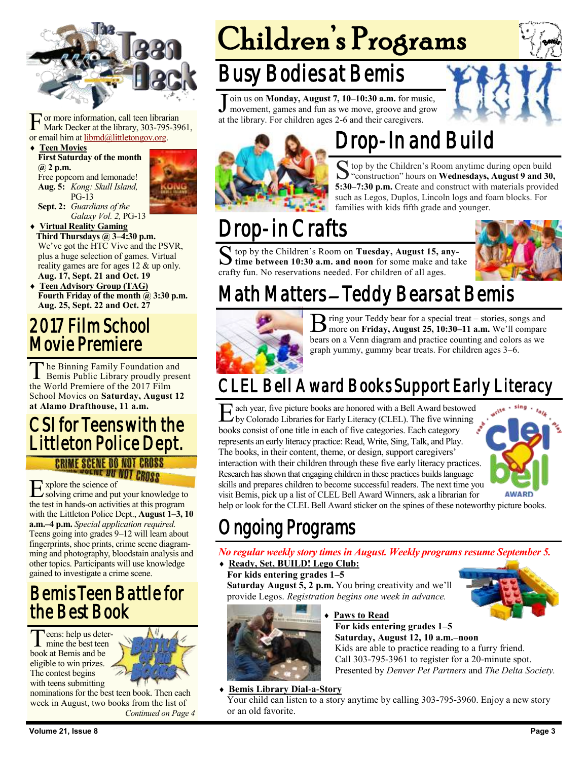

For more information, call teen librar<br>
Mark Decker at the library, 303-795<br>
or email him at <u>libmd@littletongov.org</u>. or more information, call teen librarian Mark Decker at the library, 303-795-3961,

#### **Teen Movies First Saturday of the month @ 2 p.m.**

Free popcorn and lemonade! **Aug. 5:** *Kong: Skull Island,* PG-13 **Sept. 2:** *Guardians of the*



*Galaxy Vol. 2,* PG-13

 **Virtual Reality Gaming Third Thursdays @ 3–4:30 p.m.** We've got the HTC Vive and the PSVR, plus a huge selection of games. Virtual reality games are for ages 12 & up only. **Aug. 17, Sept. 21 and Oct. 19**

 **Teen Advisory Group (TAG) Fourth Friday of the month @ 3:30 p.m. Aug. 25, Sept. 22 and Oct. 27**

### 2017 Film School Movie Premiere

The Binning Family Foundation and<br>Bemis Public Library proudly present he Binning Family Foundation and the World Premiere of the 2017 Film School Movies on **Saturday, August 12 at Alamo Drafthouse, 11 a.m.**

### CSI for Teens with the Littleton Police Dept. **CRIME SCENE DO NOT CROSS**

E xplore the science of solving crime and put your knowledge to the test in hands-on activities at this program with the Littleton Police Dept., **August 1–3, 10 a.m.–4 p.m.** *Special application required.*  Teens going into grades 9–12 will learn about fingerprints, shoe prints, crime scene diagramming and photography, bloodstain analysis and other topics. Participants will use knowledge gained to investigate a crime scene.

### Bemis Teen Battle for the Best Book

Teens: help us deter eens: help us deterbook at Bemis and be eligible to win prizes. The contest begins with teens submitting



nominations for the best teen book. Then each week in August, two books from the list of *Continued on Page 4*

# Children's Programs

## Busy Bodies at Bemis

J oin us on **Monday, August 7, 10–10:30 a.m.** for music,<br>movement, games and fun as we move, groove and grow oin us on **Monday, August 7, 10–10:30 a.m.** for music, at the library. For children ages 2-6 and their caregivers.





## Drop-In and Build

S top by the Children's Room anytime during open build<br>"construction" hours on **Wednesdays, August 9 and 30**, top by the Children's Room anytime during open build **5:30–7:30 p.m.** Create and construct with materials provided such as Legos, Duplos, Lincoln logs and foam blocks. For families with kids fifth grade and younger.

## Drop-in Crafts

S top by the Children's Room on Tuesday, August 15, any-<br>time between 10:30 a.m. and noon for some make and take top by the Children's Room on **Tuesday, August 15, any**crafty fun. No reservations needed. For children of all ages.



## Math Matters – Teddy Bears at Bemis



B ring your Teddy bear for a special treat – stories, songs and more on **Friday, August 25, 10:30–11 a.m.** We'll compare ring your Teddy bear for a special treat – stories, songs and bears on a Venn diagram and practice counting and colors as we graph yummy, gummy bear treats. For children ages 3–6.

## CLEL Bell Award Books Support Early Literacy

E ach year, five picture books are honored with a Bell Award bestowed<br>by Colorado Libraries for Early Literacy (CLEL). The five winning by Colorado Libraries for Early Literacy (CLEL). The five winning books consist of one title in each of five categories. Each category represents an early literacy practice: Read, Write, Sing, Talk, and Play. The books, in their content, theme, or design, support caregivers' interaction with their children through these five early literacy practices. Research has shown that engaging children in these practices builds language skills and prepares children to become successful readers. The next time you visit Bemis, pick up a list of CLEL Bell Award Winners, ask a librarian for



help or look for the CLEL Bell Award sticker on the spines of these noteworthy picture books.

### ngoing Programs

*No regular weekly story times in August. Weekly programs resume September 5.*

**Ready, Set, BUILD! Lego Club:**

**For kids entering grades 1–5 Saturday August 5, 2 p.m.** You bring creativity and we'll provide Legos. *Registration begins one week in advance.*



#### **Paws to Read**

**For kids entering grades 1–5 Saturday, August 12, 10 a.m.–noon**

Kids are able to practice reading to a furry friend. Call 303-795-3961 to register for a 20-minute spot. Presented by *Denver Pet Partners* and *The Delta Society.*

**Bemis Library Dial-a-Story**

Your child can listen to a story anytime by calling 303-795-3960. Enjoy a new story or an old favorite.